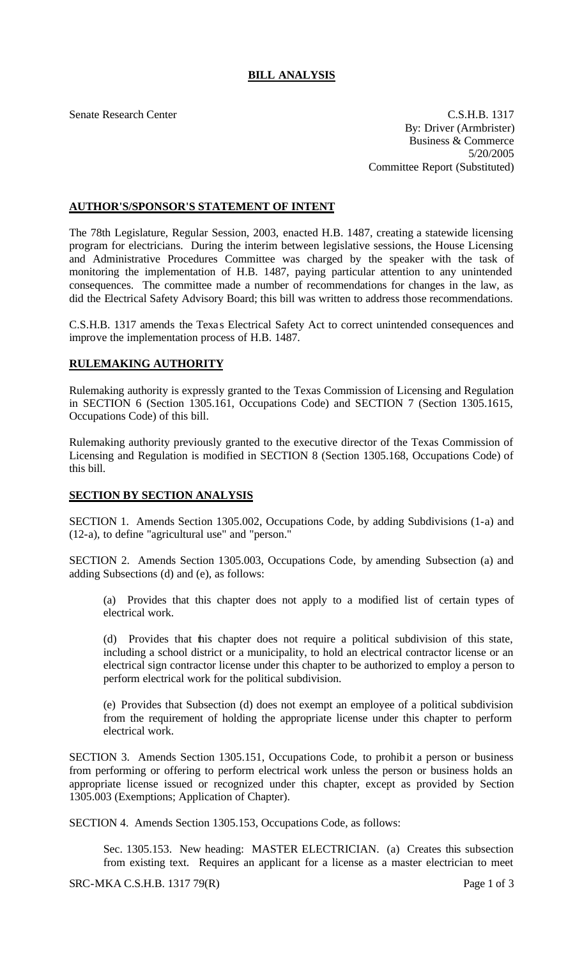## **BILL ANALYSIS**

Senate Research Center C.S.H.B. 1317 By: Driver (Armbrister) Business & Commerce 5/20/2005 Committee Report (Substituted)

## **AUTHOR'S/SPONSOR'S STATEMENT OF INTENT**

The 78th Legislature, Regular Session, 2003, enacted H.B. 1487, creating a statewide licensing program for electricians. During the interim between legislative sessions, the House Licensing and Administrative Procedures Committee was charged by the speaker with the task of monitoring the implementation of H.B. 1487, paying particular attention to any unintended consequences. The committee made a number of recommendations for changes in the law, as did the Electrical Safety Advisory Board; this bill was written to address those recommendations.

C.S.H.B. 1317 amends the Texas Electrical Safety Act to correct unintended consequences and improve the implementation process of H.B. 1487.

## **RULEMAKING AUTHORITY**

Rulemaking authority is expressly granted to the Texas Commission of Licensing and Regulation in SECTION 6 (Section 1305.161, Occupations Code) and SECTION 7 (Section 1305.1615, Occupations Code) of this bill.

Rulemaking authority previously granted to the executive director of the Texas Commission of Licensing and Regulation is modified in SECTION 8 (Section 1305.168, Occupations Code) of this bill.

## **SECTION BY SECTION ANALYSIS**

SECTION 1. Amends Section 1305.002, Occupations Code, by adding Subdivisions (1-a) and (12-a), to define "agricultural use" and "person."

SECTION 2. Amends Section 1305.003, Occupations Code, by amending Subsection (a) and adding Subsections (d) and (e), as follows:

(a) Provides that this chapter does not apply to a modified list of certain types of electrical work.

(d) Provides that this chapter does not require a political subdivision of this state, including a school district or a municipality, to hold an electrical contractor license or an electrical sign contractor license under this chapter to be authorized to employ a person to perform electrical work for the political subdivision.

(e) Provides that Subsection (d) does not exempt an employee of a political subdivision from the requirement of holding the appropriate license under this chapter to perform electrical work.

SECTION 3. Amends Section 1305.151, Occupations Code, to prohibit a person or business from performing or offering to perform electrical work unless the person or business holds an appropriate license issued or recognized under this chapter, except as provided by Section 1305.003 (Exemptions; Application of Chapter).

SECTION 4. Amends Section 1305.153, Occupations Code, as follows:

Sec. 1305.153. New heading: MASTER ELECTRICIAN. (a) Creates this subsection from existing text. Requires an applicant for a license as a master electrician to meet

SRC-MKA C.S.H.B. 1317 79(R) Page 1 of 3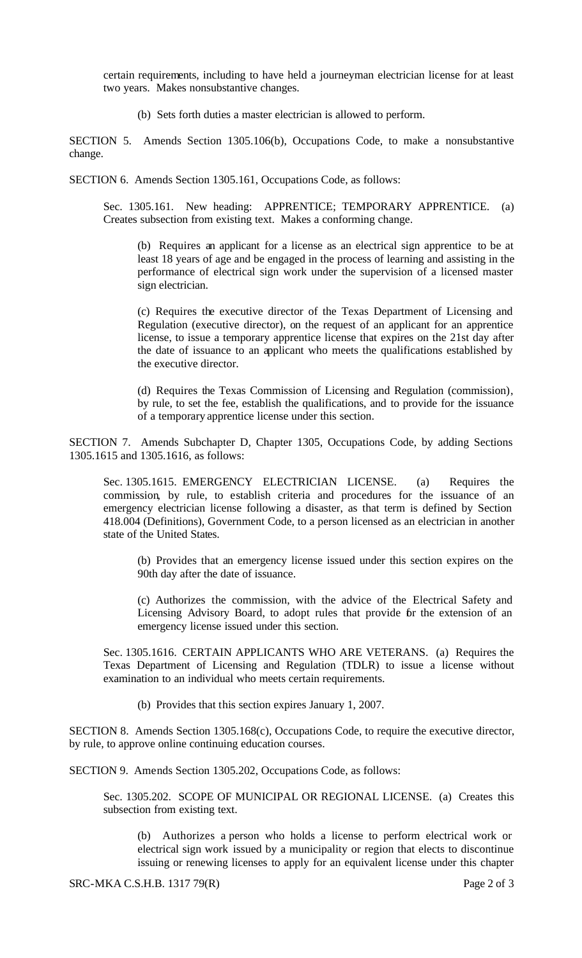certain requirements, including to have held a journeyman electrician license for at least two years. Makes nonsubstantive changes.

(b) Sets forth duties a master electrician is allowed to perform.

SECTION 5. Amends Section 1305.106(b), Occupations Code, to make a nonsubstantive change.

SECTION 6. Amends Section 1305.161, Occupations Code, as follows:

Sec. 1305.161. New heading: APPRENTICE; TEMPORARY APPRENTICE. (a) Creates subsection from existing text. Makes a conforming change.

(b) Requires an applicant for a license as an electrical sign apprentice to be at least 18 years of age and be engaged in the process of learning and assisting in the performance of electrical sign work under the supervision of a licensed master sign electrician.

(c) Requires the executive director of the Texas Department of Licensing and Regulation (executive director), on the request of an applicant for an apprentice license, to issue a temporary apprentice license that expires on the 21st day after the date of issuance to an applicant who meets the qualifications established by the executive director.

(d) Requires the Texas Commission of Licensing and Regulation (commission), by rule, to set the fee, establish the qualifications, and to provide for the issuance of a temporary apprentice license under this section.

SECTION 7. Amends Subchapter D, Chapter 1305, Occupations Code, by adding Sections 1305.1615 and 1305.1616, as follows:

Sec. 1305.1615. EMERGENCY ELECTRICIAN LICENSE. (a) Requires the commission, by rule, to establish criteria and procedures for the issuance of an emergency electrician license following a disaster, as that term is defined by Section 418.004 (Definitions), Government Code, to a person licensed as an electrician in another state of the United States.

(b) Provides that an emergency license issued under this section expires on the 90th day after the date of issuance.

(c) Authorizes the commission, with the advice of the Electrical Safety and Licensing Advisory Board, to adopt rules that provide for the extension of an emergency license issued under this section.

Sec. 1305.1616. CERTAIN APPLICANTS WHO ARE VETERANS. (a) Requires the Texas Department of Licensing and Regulation (TDLR) to issue a license without examination to an individual who meets certain requirements.

(b) Provides that this section expires January 1, 2007.

SECTION 8. Amends Section 1305.168(c), Occupations Code, to require the executive director, by rule, to approve online continuing education courses.

SECTION 9. Amends Section 1305.202, Occupations Code, as follows:

Sec. 1305.202. SCOPE OF MUNICIPAL OR REGIONAL LICENSE. (a) Creates this subsection from existing text.

(b) Authorizes a person who holds a license to perform electrical work or electrical sign work issued by a municipality or region that elects to discontinue issuing or renewing licenses to apply for an equivalent license under this chapter

SRC-MKA C.S.H.B. 1317 79(R) Page 2 of 3